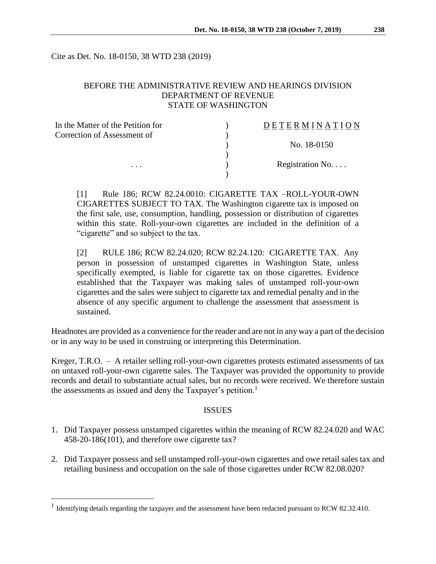Cite as Det. No. 18-0150, 38 WTD 238 (2019)

# BEFORE THE ADMINISTRATIVE REVIEW AND HEARINGS DIVISION DEPARTMENT OF REVENUE STATE OF WASHINGTON

| In the Matter of the Petition for | DETERMINATION            |
|-----------------------------------|--------------------------|
| Correction of Assessment of       |                          |
|                                   | No. 18-0150              |
|                                   |                          |
| $\cdots$                          | Registration No. $\dots$ |
|                                   |                          |

[1] Rule 186; RCW 82.24.0010: CIGARETTE TAX –ROLL-YOUR-OWN CIGARETTES SUBJECT TO TAX. The Washington cigarette tax is imposed on the first sale, use, consumption, handling, possession or distribution of cigarettes within this state. Roll-your-own cigarettes are included in the definition of a "cigarette" and so subject to the tax.

[2] RULE 186; RCW 82.24.020; RCW 82.24.120: CIGARETTE TAX. Any person in possession of unstamped cigarettes in Washington State, unless specifically exempted, is liable for cigarette tax on those cigarettes. Evidence established that the Taxpayer was making sales of unstamped roll-your-own cigarettes and the sales were subject to cigarette tax and remedial penalty and in the absence of any specific argument to challenge the assessment that assessment is sustained.

Headnotes are provided as a convenience for the reader and are not in any way a part of the decision or in any way to be used in construing or interpreting this Determination.

Kreger, T.R.O. – A retailer selling roll-your-own cigarettes protests estimated assessments of tax on untaxed roll-your-own cigarette sales. The Taxpayer was provided the opportunity to provide records and detail to substantiate actual sales, but no records were received. We therefore sustain the assessments as issued and deny the Taxpayer's petition.<sup>1</sup>

#### ISSUES

- 1. Did Taxpayer possess unstamped cigarettes within the meaning of RCW 82.24.020 and WAC 458-20-186(101), and therefore owe cigarette tax?
- 2. Did Taxpayer possess and sell unstamped roll-your-own cigarettes and owe retail sales tax and retailing business and occupation on the sale of those cigarettes under RCW 82.08.020?

 $\overline{a}$ 

<sup>&</sup>lt;sup>1</sup> Identifying details regarding the taxpayer and the assessment have been redacted pursuant to RCW 82.32.410.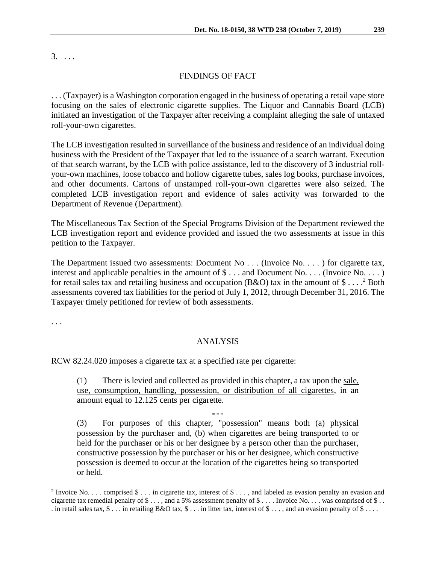### FINDINGS OF FACT

. . . (Taxpayer) is a Washington corporation engaged in the business of operating a retail vape store focusing on the sales of electronic cigarette supplies. The Liquor and Cannabis Board (LCB) initiated an investigation of the Taxpayer after receiving a complaint alleging the sale of untaxed roll-your-own cigarettes.

The LCB investigation resulted in surveillance of the business and residence of an individual doing business with the President of the Taxpayer that led to the issuance of a search warrant. Execution of that search warrant, by the LCB with police assistance, led to the discovery of 3 industrial rollyour-own machines, loose tobacco and hollow cigarette tubes, sales log books, purchase invoices, and other documents. Cartons of unstamped roll-your-own cigarettes were also seized. The completed LCB investigation report and evidence of sales activity was forwarded to the Department of Revenue (Department).

The Miscellaneous Tax Section of the Special Programs Division of the Department reviewed the LCB investigation report and evidence provided and issued the two assessments at issue in this petition to the Taxpayer.

The Department issued two assessments: Document No . . . (Invoice No. . . .) for cigarette tax, interest and applicable penalties in the amount of  $\$\dots$  and Document No. . . . (Invoice No. . . .) for retail sales tax and retailing business and occupation (B&O) tax in the amount of  $\$\dots$ <sup>2</sup> Both assessments covered tax liabilities for the period of July 1, 2012, through December 31, 2016. The Taxpayer timely petitioned for review of both assessments.

. . .

 $\overline{a}$ 

### ANALYSIS

RCW 82.24.020 imposes a cigarette tax at a specified rate per cigarette:

(1) There is levied and collected as provided in this chapter, a tax upon the sale, use, consumption, handling, possession, or distribution of all cigarettes, in an amount equal to 12.125 cents per cigarette.

\* \* \*

(3) For purposes of this chapter, "possession" means both (a) physical possession by the purchaser and, (b) when cigarettes are being transported to or held for the purchaser or his or her designee by a person other than the purchaser, constructive possession by the purchaser or his or her designee, which constructive possession is deemed to occur at the location of the cigarettes being so transported or held.

<sup>&</sup>lt;sup>2</sup> Invoice No. . . . comprised  $\$\dots$  in cigarette tax, interest of  $\$\dots$ , and labeled as evasion penalty an evasion and cigarette tax remedial penalty of \$ . . . , and a 5% assessment penalty of \$ . . . Invoice No. . . . was comprised of \$ . . . in retail sales tax,  $\$\dots$  in retailing B&O tax,  $\$\dots$  in litter tax, interest of  $\$\dots$ , and an evasion penalty of  $\$\dots$ .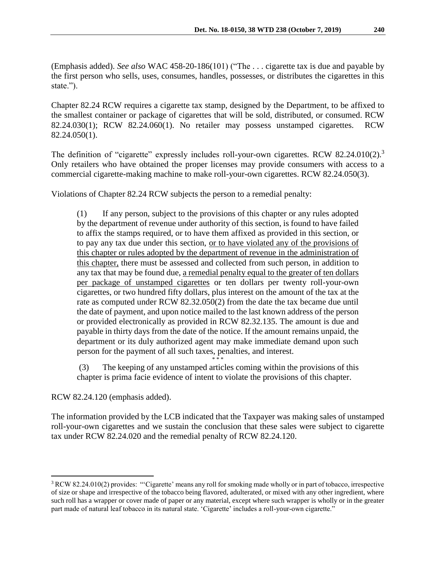(Emphasis added). *See also* WAC 458-20-186(101) ("The . . . cigarette tax is due and payable by the first person who sells, uses, consumes, handles, possesses, or distributes the cigarettes in this state.").

Chapter 82.24 RCW requires a cigarette tax stamp, designed by the Department, to be affixed to the smallest container or package of cigarettes that will be sold, distributed, or consumed. RCW 82.24.030(1); RCW 82.24.060(1). No retailer may possess unstamped cigarettes. RCW 82.24.050(1).

The definition of "cigarette" expressly includes roll-your-own cigarettes. RCW 82.24.010(2).<sup>3</sup> Only retailers who have obtained the proper licenses may provide consumers with access to a commercial cigarette-making machine to make roll-your-own cigarettes. RCW 82.24.050(3).

Violations of Chapter 82.24 RCW subjects the person to a remedial penalty:

(1) If any person, subject to the provisions of this chapter or any rules adopted by the department of revenue under authority of this section, is found to have failed to affix the stamps required, or to have them affixed as provided in this section, or to pay any tax due under this section, or to have violated any of the provisions of this chapter or rules adopted by the department of revenue in the administration of this chapter, there must be assessed and collected from such person, in addition to any tax that may be found due, a remedial penalty equal to the greater of ten dollars per package of unstamped cigarettes or ten dollars per twenty roll-your-own cigarettes, or two hundred fifty dollars, plus interest on the amount of the tax at the rate as computed under RCW 82.32.050(2) from the date the tax became due until the date of payment, and upon notice mailed to the last known address of the person or provided electronically as provided in RCW 82.32.135. The amount is due and payable in thirty days from the date of the notice. If the amount remains unpaid, the department or its duly authorized agent may make immediate demand upon such person for the payment of all such taxes, penalties, and interest.

\* \* \* (3) The keeping of any unstamped articles coming within the provisions of this chapter is prima facie evidence of intent to violate the provisions of this chapter.

RCW 82.24.120 (emphasis added).

 $\overline{a}$ 

The information provided by the LCB indicated that the Taxpayer was making sales of unstamped roll-your-own cigarettes and we sustain the conclusion that these sales were subject to cigarette tax under RCW 82.24.020 and the remedial penalty of RCW 82.24.120.

<sup>3</sup> RCW 82.24.010(2) provides: "'Cigarette' means any roll for smoking made wholly or in part of tobacco, irrespective of size or shape and irrespective of the tobacco being flavored, adulterated, or mixed with any other ingredient, where such roll has a wrapper or cover made of paper or any material, except where such wrapper is wholly or in the greater part made of natural leaf tobacco in its natural state. 'Cigarette' includes a roll-your-own cigarette."